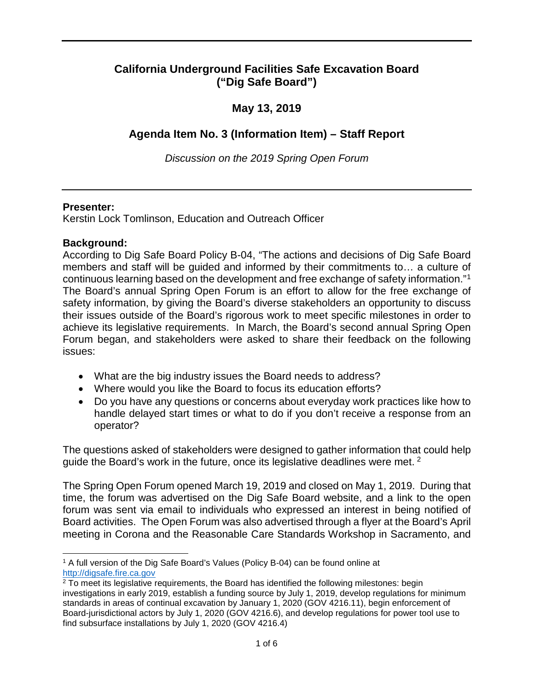## **California Underground Facilities Safe Excavation Board ("Dig Safe Board")**

## **May 13, 2019**

# **Agenda Item No. 3 (Information Item) – Staff Report**

*Discussion on the 2019 Spring Open Forum* 

### **Presenter:**

Kerstin Lock Tomlinson, Education and Outreach Officer

### **Background:**

 continuous learning based on the development and free exchange of safety information."[1](#page-0-0) their issues outside of the Board's rigorous work to meet specific milestones in order to achieve its legislative requirements. In March, the Board's second annual Spring Open According to Dig Safe Board Policy B-04, "The actions and decisions of Dig Safe Board members and staff will be guided and informed by their commitments to… a culture of The Board's annual Spring Open Forum is an effort to allow for the free exchange of safety information, by giving the Board's diverse stakeholders an opportunity to discuss Forum began, and stakeholders were asked to share their feedback on the following issues:

- What are the big industry issues the Board needs to address?
- Where would you like the Board to focus its education efforts?
- handle delayed start times or what to do if you don't receive a response from an • Do you have any questions or concerns about everyday work practices like how to operator?

The questions asked of stakeholders were designed to gather information that could help guide the Board's work in the future, once its legislative deadlines were met. [2](#page-0-1) 

 Board activities. The Open Forum was also advertised through a flyer at the Board's April meeting in Corona and the Reasonable Care Standards Workshop in Sacramento, and The Spring Open Forum opened March 19, 2019 and closed on May 1, 2019. During that time, the forum was advertised on the Dig Safe Board website, and a link to the open forum was sent via email to individuals who expressed an interest in being notified of

<span id="page-0-0"></span> $\overline{a}$ 1 A full version of the Dig Safe Board's Values (Policy B-04) can be found online at [http://digsafe.fire.ca.gov](http://digsafe.fire.ca.gov/) 

<span id="page-0-1"></span> Board-jurisdictional actors by July 1, 2020 (GOV 4216.6), and develop regulations for power tool use to <sup>2</sup> To meet its legislative requirements, the Board has identified the following milestones: begin investigations in early 2019, establish a funding source by July 1, 2019, develop regulations for minimum standards in areas of continual excavation by January 1, 2020 (GOV 4216.11), begin enforcement of find subsurface installations by July 1, 2020 (GOV 4216.4)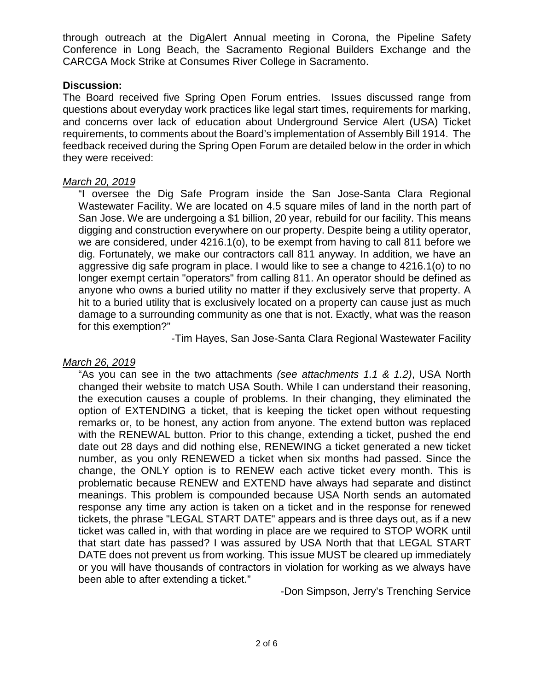through outreach at the DigAlert Annual meeting in Corona, the Pipeline Safety Conference in Long Beach, the Sacramento Regional Builders Exchange and the CARCGA Mock Strike at Consumes River College in Sacramento.

#### **Discussion:**

 The Board received five Spring Open Forum entries. Issues discussed range from questions about everyday work practices like legal start times, requirements for marking, and concerns over lack of education about Underground Service Alert (USA) Ticket requirements, to comments about the Board's implementation of Assembly Bill 1914. The feedback received during the Spring Open Forum are detailed below in the order in which they were received:

### *March 20, 2019*

 San Jose. We are undergoing a \$1 billion, 20 year, rebuild for our facility. This means longer exempt certain "operators" from calling 811. An operator should be defined as anyone who owns a buried utility no matter if they exclusively serve that property. A hit to a buried utility that is exclusively located on a property can cause just as much damage to a surrounding community as one that is not. Exactly, what was the reason "I oversee the Dig Safe Program inside the San Jose-Santa Clara Regional Wastewater Facility. We are located on 4.5 square miles of land in the north part of digging and construction everywhere on our property. Despite being a utility operator, we are considered, under 4216.1(o), to be exempt from having to call 811 before we dig. Fortunately, we make our contractors call 811 anyway. In addition, we have an aggressive dig safe program in place. I would like to see a change to 4216.1(o) to no for this exemption?"

-Tim Hayes, San Jose-Santa Clara Regional Wastewater Facility

### *March 26, 2019*

 changed their website to match USA South. While I can understand their reasoning, change, the ONLY option is to RENEW each active ticket every month. This is tickets, the phrase "LEGAL START DATE" appears and is three days out, as if a new DATE does not prevent us from working. This issue MUST be cleared up immediately been able to after extending a ticket." "As you can see in the two attachments *(see attachments 1.1 & 1.2)*, USA North the execution causes a couple of problems. In their changing, they eliminated the option of EXTENDING a ticket, that is keeping the ticket open without requesting remarks or, to be honest, any action from anyone. The extend button was replaced with the RENEWAL button. Prior to this change, extending a ticket, pushed the end date out 28 days and did nothing else, RENEWING a ticket generated a new ticket number, as you only RENEWED a ticket when six months had passed. Since the problematic because RENEW and EXTEND have always had separate and distinct meanings. This problem is compounded because USA North sends an automated response any time any action is taken on a ticket and in the response for renewed ticket was called in, with that wording in place are we required to STOP WORK until that start date has passed? I was assured by USA North that that LEGAL START or you will have thousands of contractors in violation for working as we always have

-Don Simpson, Jerry's Trenching Service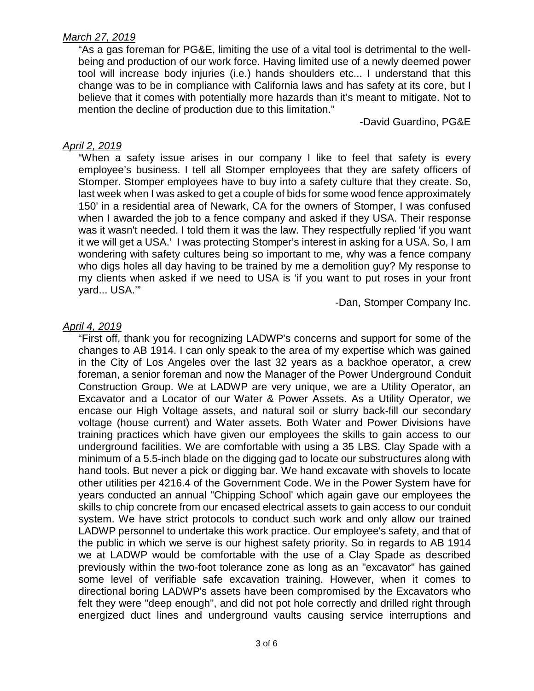### *March 27, 2019*

 mention the decline of production due to this limitation." "As a gas foreman for PG&E, limiting the use of a vital tool is detrimental to the wellbeing and production of our work force. Having limited use of a newly deemed power tool will increase body injuries (i.e.) hands shoulders etc... I understand that this change was to be in compliance with California laws and has safety at its core, but I believe that it comes with potentially more hazards than it's meant to mitigate. Not to

-David Guardino, PG&E

### *April 2, 2019*

 employee's business. I tell all Stomper employees that they are safety officers of last week when I was asked to get a couple of bids for some wood fence approximately it we will get a USA.' I was protecting Stomper's interest in asking for a USA. So, I am who digs holes all day having to be trained by me a demolition guy? My response to my clients when asked if we need to USA is 'if you want to put roses in your front "When a safety issue arises in our company I like to feel that safety is every Stomper. Stomper employees have to buy into a safety culture that they create. So, 150' in a residential area of Newark, CA for the owners of Stomper, I was confused when I awarded the job to a fence company and asked if they USA. Their response was it wasn't needed. I told them it was the law. They respectfully replied 'if you want wondering with safety cultures being so important to me, why was a fence company yard... USA.'"

-Dan, Stomper Company Inc.

### *April 4, 2019*

 "First off, thank you for recognizing LADWP's concerns and support for some of the Construction Group. We at LADWP are very unique, we are a Utility Operator, an Excavator and a Locator of our Water & Power Assets. As a Utility Operator, we voltage (house current) and Water assets. Both Water and Power Divisions have minimum of a 5.5-inch blade on the digging gad to locate our substructures along with skills to chip concrete from our encased electrical assets to gain access to our conduit system. We have strict protocols to conduct such work and only allow our trained we at LADWP would be comfortable with the use of a Clay Spade as described changes to AB 1914. I can only speak to the area of my expertise which was gained in the City of Los Angeles over the last 32 years as a backhoe operator, a crew foreman, a senior foreman and now the Manager of the Power Underground Conduit encase our High Voltage assets, and natural soil or slurry back-fill our secondary training practices which have given our employees the skills to gain access to our underground facilities. We are comfortable with using a 35 LBS. Clay Spade with a hand tools. But never a pick or digging bar. We hand excavate with shovels to locate other utilities per 4216.4 of the Government Code. We in the Power System have for years conducted an annual "Chipping School' which again gave our employees the LADWP personnel to undertake this work practice. Our employee's safety, and that of the public in which we serve is our highest safety priority. So in regards to AB 1914 previously within the two-foot tolerance zone as long as an "excavator" has gained some level of verifiable safe excavation training. However, when it comes to directional boring LADWP's assets have been compromised by the Excavators who felt they were "deep enough", and did not pot hole correctly and drilled right through energized duct lines and underground vaults causing service interruptions and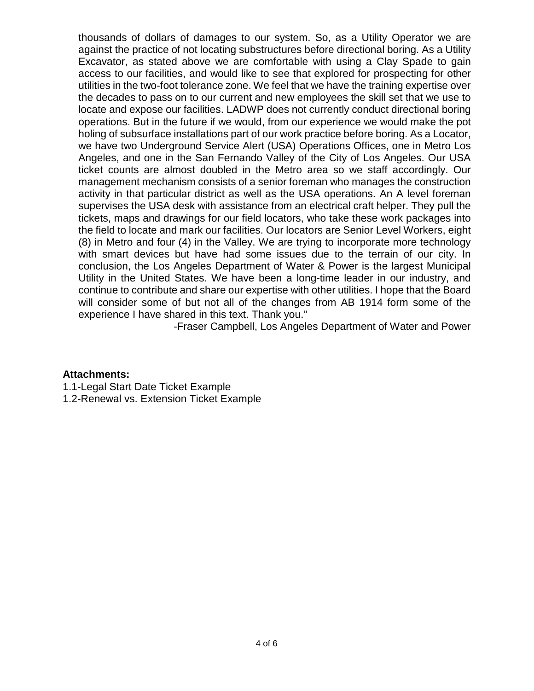thousands of dollars of damages to our system. So, as a Utility Operator we are access to our facilities, and would like to see that explored for prospecting for other utilities in the two-foot tolerance zone. We feel that we have the training expertise over holing of subsurface installations part of our work practice before boring. As a Locator, Angeles, and one in the San Fernando Valley of the City of Los Angeles. Our USA activity in that particular district as well as the USA operations. An A level foreman supervises the USA desk with assistance from an electrical craft helper. They pull the conclusion, the Los Angeles Department of Water & Power is the largest Municipal Utility in the United States. We have been a long-time leader in our industry, and will consider some of but not all of the changes from AB 1914 form some of the against the practice of not locating substructures before directional boring. As a Utility Excavator, as stated above we are comfortable with using a Clay Spade to gain the decades to pass on to our current and new employees the skill set that we use to locate and expose our facilities. LADWP does not currently conduct directional boring operations. But in the future if we would, from our experience we would make the pot we have two Underground Service Alert (USA) Operations Offices, one in Metro Los ticket counts are almost doubled in the Metro area so we staff accordingly. Our management mechanism consists of a senior foreman who manages the construction tickets, maps and drawings for our field locators, who take these work packages into the field to locate and mark our facilities. Our locators are Senior Level Workers, eight (8) in Metro and four (4) in the Valley. We are trying to incorporate more technology with smart devices but have had some issues due to the terrain of our city. In continue to contribute and share our expertise with other utilities. I hope that the Board experience I have shared in this text. Thank you."

-Fraser Campbell, Los Angeles Department of Water and Power

### **Attachments:**

- 1.1-Legal Start Date Ticket Example
- 1.2-Renewal vs. Extension Ticket Example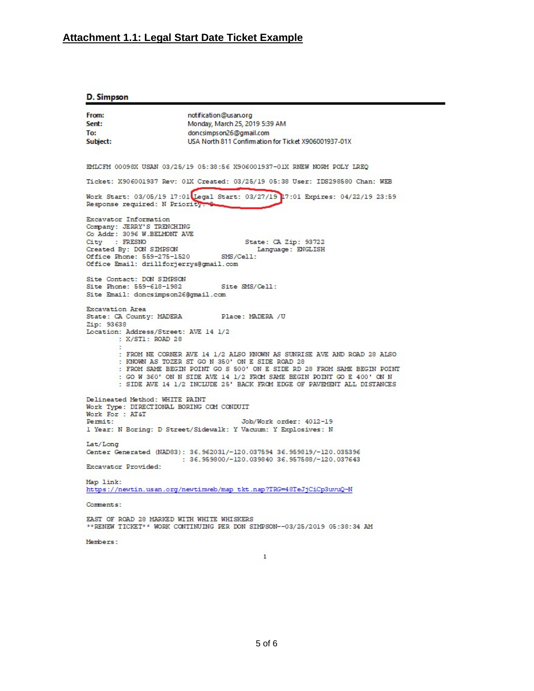## Attachment 1.1: Legal Start Date Ticket Example

#### D. Simpson

| From:<br>Sent:                                                                                                                                                                                                                                                                                                                                          | notification@usan.org                                                                     |
|---------------------------------------------------------------------------------------------------------------------------------------------------------------------------------------------------------------------------------------------------------------------------------------------------------------------------------------------------------|-------------------------------------------------------------------------------------------|
|                                                                                                                                                                                                                                                                                                                                                         | Monday, March 25, 2019 5:39 AM                                                            |
| To:                                                                                                                                                                                                                                                                                                                                                     | doncsimps on 26@gmail.com                                                                 |
| Subject:                                                                                                                                                                                                                                                                                                                                                | USA North 811 Confirmation for Ticket X906001937-01X                                      |
|                                                                                                                                                                                                                                                                                                                                                         |                                                                                           |
| EMLCFM 00098X USAN 03/25/19 05:38:56 X906001937-01X RNEW NORM POLY LREQ                                                                                                                                                                                                                                                                                 |                                                                                           |
| Ticket: X906001937 Rev: 01X Created: 03/25/19 05:38 User: IDS298580 Chan: WEB                                                                                                                                                                                                                                                                           |                                                                                           |
| Work Start: 03/05/19 17:01 Legal Start: 03/27/19 17:01 Expires: 04/22/19 23:59<br>Response required: N Priority                                                                                                                                                                                                                                         |                                                                                           |
| Excavator Information<br>Company: JERRY'S TRENCHING<br>Co Addr: 3096 W.BELMONT AVE<br>City : FRESNO                                                                                                                                                                                                                                                     | State: CA Zip: 93722                                                                      |
| Created By: DON SIMPSON                                                                                                                                                                                                                                                                                                                                 | Language: ENGLISH                                                                         |
| Office Phone: 559-275-1520 SMS/Cell:                                                                                                                                                                                                                                                                                                                    |                                                                                           |
| Office Email: drillforjerrys@gmail.com                                                                                                                                                                                                                                                                                                                  |                                                                                           |
|                                                                                                                                                                                                                                                                                                                                                         |                                                                                           |
| Site Contact: DON SIMPSON<br>Site Phone: 559-618-1982 Site SMS/Cell:                                                                                                                                                                                                                                                                                    |                                                                                           |
| Site Email: doncsimpson26@gmail.com                                                                                                                                                                                                                                                                                                                     |                                                                                           |
|                                                                                                                                                                                                                                                                                                                                                         |                                                                                           |
| <b>Excavation Area</b>                                                                                                                                                                                                                                                                                                                                  | State: CA County: MADERA Place: MADERA /U                                                 |
| Zip: 93638                                                                                                                                                                                                                                                                                                                                              |                                                                                           |
| Location: Address/Street: AVE 14 1/2<br>: X/ST1: ROAD 28                                                                                                                                                                                                                                                                                                |                                                                                           |
| : FROM NE CORNER AVE 14 1/2 ALSO KNOWN AS SUNRISE AVE AND ROAD 28 ALSO<br>: KNOWN AS TOZER ST GO N 350' ON E SIDE ROAD 28<br>: FROM SAME BEGIN POINT GO S 500' ON E SIDE RD 28 FROM SAME BEGIN POINT<br>: GO W 360' ON N SIDE AVE 14 1/2 FROM SAME BEGIN POINT GO E 400' ON N<br>: SIDE AVE 14 1/2 INCLUDE 25' BACK FROM EDGE OF PAVEMENT ALL DISTANCES |                                                                                           |
| Delineated Method: WHITE PAINT<br>Work Type: DIRECTIONAL BORING COM CONDUIT                                                                                                                                                                                                                                                                             |                                                                                           |
| Work For : AT&T                                                                                                                                                                                                                                                                                                                                         |                                                                                           |
| Permit:                                                                                                                                                                                                                                                                                                                                                 | Job/Work order: 4012-19<br>1 Year: N Boring: D Street/Sidewalk: Y Vacuum: Y Explosives: N |
| Lat/Long                                                                                                                                                                                                                                                                                                                                                |                                                                                           |
|                                                                                                                                                                                                                                                                                                                                                         | Center Generated (NAD83): 36.962031/-120.037594 36.959819/-120.035396                     |
|                                                                                                                                                                                                                                                                                                                                                         | : 36.959800/-120.039840 36.957588/-120.037643                                             |
| Excavator Provided:                                                                                                                                                                                                                                                                                                                                     |                                                                                           |
| Map link:<br>https://newtin.usan.org/newtinweb/map tkt.nap?TRG=48TeJjCiCp3uvuQ-N                                                                                                                                                                                                                                                                        |                                                                                           |
| Comments:                                                                                                                                                                                                                                                                                                                                               |                                                                                           |
| EAST OF ROAD 28 MARKED WITH WHITE WHISKERS                                                                                                                                                                                                                                                                                                              |                                                                                           |
| **RENEW TICKET** WORK CONTINUING PER DON SIMPSON--03/25/2019 05:38:34 AM                                                                                                                                                                                                                                                                                |                                                                                           |
|                                                                                                                                                                                                                                                                                                                                                         |                                                                                           |

Members:

 $\mathbf 1$